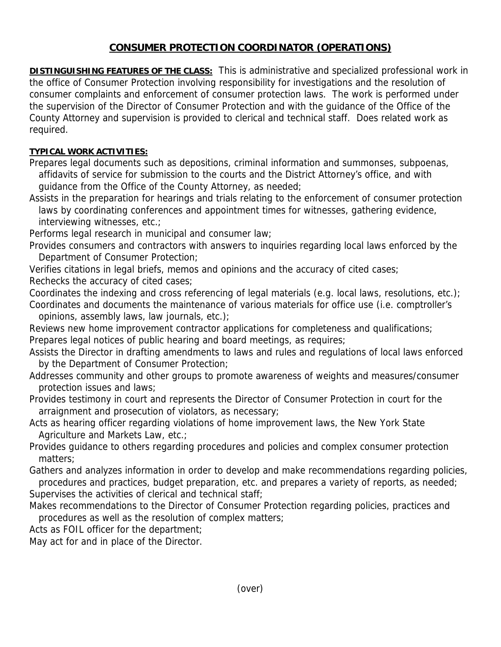## **CONSUMER PROTECTION COORDINATOR (OPERATIONS)**

**DISTINGUISHING FEATURES OF THE CLASS:** This is administrative and specialized professional work in the office of Consumer Protection involving responsibility for investigations and the resolution of consumer complaints and enforcement of consumer protection laws. The work is performed under the supervision of the Director of Consumer Protection and with the guidance of the Office of the County Attorney and supervision is provided to clerical and technical staff. Does related work as required.

## **TYPICAL WORK ACTIVITIES:**

Prepares legal documents such as depositions, criminal information and summonses, subpoenas, affidavits of service for submission to the courts and the District Attorney's office, and with guidance from the Office of the County Attorney, as needed;

Assists in the preparation for hearings and trials relating to the enforcement of consumer protection laws by coordinating conferences and appointment times for witnesses, gathering evidence, interviewing witnesses, etc.;

Performs legal research in municipal and consumer law;

Provides consumers and contractors with answers to inquiries regarding local laws enforced by the Department of Consumer Protection;

Verifies citations in legal briefs, memos and opinions and the accuracy of cited cases; Rechecks the accuracy of cited cases;

Coordinates the indexing and cross referencing of legal materials (e.g. local laws, resolutions, etc.); Coordinates and documents the maintenance of various materials for office use (i.e. comptroller's opinions, assembly laws, law journals, etc.);

Reviews new home improvement contractor applications for completeness and qualifications; Prepares legal notices of public hearing and board meetings, as requires;

Assists the Director in drafting amendments to laws and rules and regulations of local laws enforced by the Department of Consumer Protection;

Addresses community and other groups to promote awareness of weights and measures/consumer protection issues and laws;

Provides testimony in court and represents the Director of Consumer Protection in court for the arraignment and prosecution of violators, as necessary;

Acts as hearing officer regarding violations of home improvement laws, the New York State Agriculture and Markets Law, etc.;

Provides guidance to others regarding procedures and policies and complex consumer protection matters;

Gathers and analyzes information in order to develop and make recommendations regarding policies, procedures and practices, budget preparation, etc. and prepares a variety of reports, as needed; Supervises the activities of clerical and technical staff;

Makes recommendations to the Director of Consumer Protection regarding policies, practices and procedures as well as the resolution of complex matters;

Acts as FOIL officer for the department;

May act for and in place of the Director.